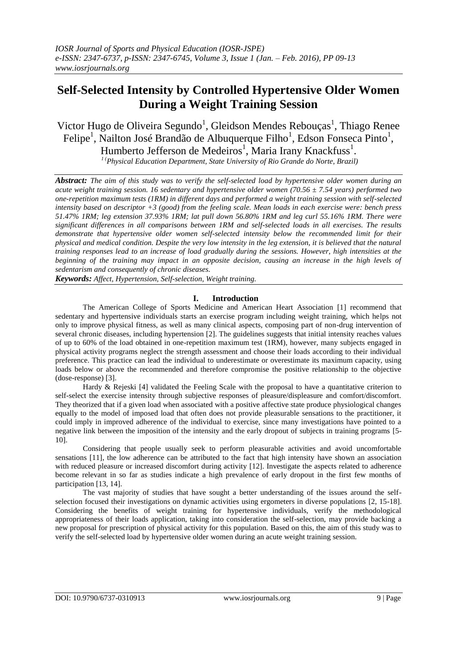# **Self-Selected Intensity by Controlled Hypertensive Older Women During a Weight Training Session**

Victor Hugo de Oliveira Segundo<sup>1</sup>, Gleidson Mendes Rebouças<sup>1</sup>, Thiago Renee Felipe<sup>1</sup>, Nailton José Brandão de Albuquerque Filho<sup>1</sup>, Edson Fonseca Pinto<sup>1</sup>, Humberto Jefferson de Medeiros<sup>1</sup>, Maria Irany Knackfuss<sup>1</sup>.

*<sup>1</sup> (Physical Education Department, State University of Rio Grande do Norte, Brazil)*

*Abstract: The aim of this study was to verify the self-selected load by hypertensive older women during an acute weight training session. 16 sedentary and hypertensive older women (70.56 ± 7.54 years) performed two one-repetition maximum tests (1RM) in different days and performed a weight training session with self-selected intensity based on descriptor +3 (good) from the feeling scale. Mean loads in each exercise were: bench press 51.47% 1RM; leg extension 37.93% 1RM; lat pull down 56.80% 1RM and leg curl 55.16% 1RM. There were significant differences in all comparisons between 1RM and self-selected loads in all exercises. The results demonstrate that hypertensive older women self-selected intensity below the recommended limit for their physical and medical condition. Despite the very low intensity in the leg extension, it is believed that the natural training responses lead to an increase of load gradually during the sessions. However, high intensities at the beginning of the training may impact in an opposite decision, causing an increase in the high levels of sedentarism and consequently of chronic diseases.*

*Keywords: Affect, Hypertension, Self-selection, Weight training.* 

# **I. Introduction**

The American College of Sports Medicine and American Heart Association [1] recommend that sedentary and hypertensive individuals starts an exercise program including weight training, which helps not only to improve physical fitness, as well as many clinical aspects, composing part of non-drug intervention of several chronic diseases, including hypertension [2]. The guidelines suggests that initial intensity reaches values of up to 60% of the load obtained in one-repetition maximum test (1RM), however, many subjects engaged in physical activity programs neglect the strength assessment and choose their loads according to their individual preference. This practice can lead the individual to underestimate or overestimate its maximum capacity, using loads below or above the recommended and therefore compromise the positive relationship to the objective (dose-response) [3].

Hardy & Rejeski [4] validated the Feeling Scale with the proposal to have a quantitative criterion to self-select the exercise intensity through subjective responses of pleasure/displeasure and comfort/discomfort. They theorized that if a given load when associated with a positive affective state produce physiological changes equally to the model of imposed load that often does not provide pleasurable sensations to the practitioner, it could imply in improved adherence of the individual to exercise, since many investigations have pointed to a negative link between the imposition of the intensity and the early dropout of subjects in training programs [5- 10].

Considering that people usually seek to perform pleasurable activities and avoid uncomfortable sensations [11], the low adherence can be attributed to the fact that high intensity have shown an association with reduced pleasure or increased discomfort during activity [12]. Investigate the aspects related to adherence become relevant in so far as studies indicate a high prevalence of early dropout in the first few months of participation [13, 14].

The vast majority of studies that have sought a better understanding of the issues around the selfselection focused their investigations on dynamic activities using ergometers in diverse populations [2, 15-18]. Considering the benefits of weight training for hypertensive individuals, verify the methodological appropriateness of their loads application, taking into consideration the self-selection, may provide backing a new proposal for prescription of physical activity for this population. Based on this, the aim of this study was to verify the self-selected load by hypertensive older women during an acute weight training session.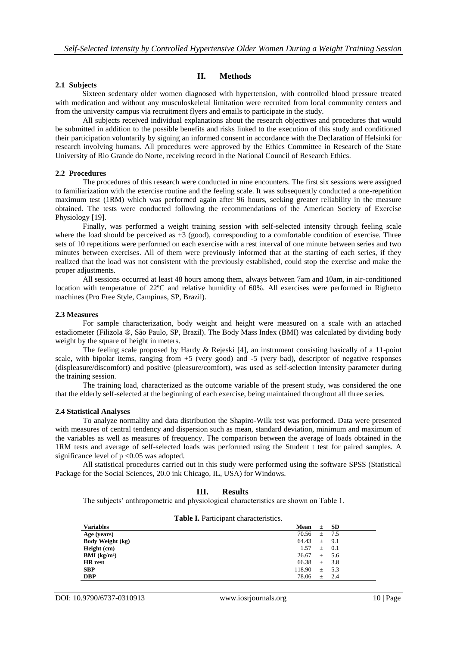# **2.1 Subjects**

# **II. Methods**

Sixteen sedentary older women diagnosed with hypertension, with controlled blood pressure treated with medication and without any musculoskeletal limitation were recruited from local community centers and from the university campus via recruitment flyers and emails to participate in the study.

All subjects received individual explanations about the research objectives and procedures that would be submitted in addition to the possible benefits and risks linked to the execution of this study and conditioned their participation voluntarily by signing an informed consent in accordance with the Declaration of Helsinki for research involving humans. All procedures were approved by the Ethics Committee in Research of the State University of Rio Grande do Norte, receiving record in the National Council of Research Ethics.

## **2.2 Procedures**

The procedures of this research were conducted in nine encounters. The first six sessions were assigned to familiarization with the exercise routine and the feeling scale. It was subsequently conducted a one-repetition maximum test (1RM) which was performed again after 96 hours, seeking greater reliability in the measure obtained. The tests were conducted following the recommendations of the American Society of Exercise Physiology [19].

Finally, was performed a weight training session with self-selected intensity through feeling scale where the load should be perceived as +3 (good), corresponding to a comfortable condition of exercise. Three sets of 10 repetitions were performed on each exercise with a rest interval of one minute between series and two minutes between exercises. All of them were previously informed that at the starting of each series, if they realized that the load was not consistent with the previously established, could stop the exercise and make the proper adjustments.

All sessions occurred at least 48 hours among them, always between 7am and 10am, in air-conditioned location with temperature of 22ºC and relative humidity of 60%. All exercises were performed in Righetto machines (Pro Free Style, Campinas, SP, Brazil).

## **2.3 Measures**

For sample characterization, body weight and height were measured on a scale with an attached estadiometer (Filizola ®, São Paulo, SP, Brazil). The Body Mass Index (BMI) was calculated by dividing body weight by the square of height in meters.

The feeling scale proposed by Hardy & Rejeski [4], an instrument consisting basically of a 11-point scale, with bipolar items, ranging from  $+5$  (very good) and  $-5$  (very bad), descriptor of negative responses (displeasure/discomfort) and positive (pleasure/comfort), was used as self-selection intensity parameter during the training session.

The training load, characterized as the outcome variable of the present study, was considered the one that the elderly self-selected at the beginning of each exercise, being maintained throughout all three series.

#### **2.4 Statistical Analyses**

To analyze normality and data distribution the Shapiro-Wilk test was performed. Data were presented with measures of central tendency and dispersion such as mean, standard deviation, minimum and maximum of the variables as well as measures of frequency. The comparison between the average of loads obtained in the 1RM tests and average of self-selected loads was performed using the Student t test for paired samples. A significance level of  $p < 0.05$  was adopted.

All statistical procedures carried out in this study were performed using the software SPSS (Statistical Package for the Social Sciences, 20.0 ink Chicago, IL, USA) for Windows.

## **III. Results**

The subjects' anthropometric and physiological characteristics are shown on Table 1.

| <b>Table I.</b> Participant characteristics. |                  |       |  |  |
|----------------------------------------------|------------------|-------|--|--|
| <b>Variables</b>                             | Mean<br>$\pm$    | - SD  |  |  |
| Age (years)                                  | 70.56<br>$\pm$   | 7.5   |  |  |
| <b>Body Weight (kg)</b>                      | 64.43<br>$\pm$   | 9.1   |  |  |
| Height (cm)                                  | 1.57<br>$\pm$    | 0.1   |  |  |
| $\rm{BMI}$ (kg/m <sup>2</sup> )              | 26.67<br>$\pm$   | - 5.6 |  |  |
| <b>HR</b> rest                               | 66.38<br>$\pm$   | 3.8   |  |  |
| <b>SBP</b>                                   | 118.90<br>$^{+}$ | 5.3   |  |  |
| <b>DBP</b>                                   | 78.06<br>$^{+}$  | 2.4   |  |  |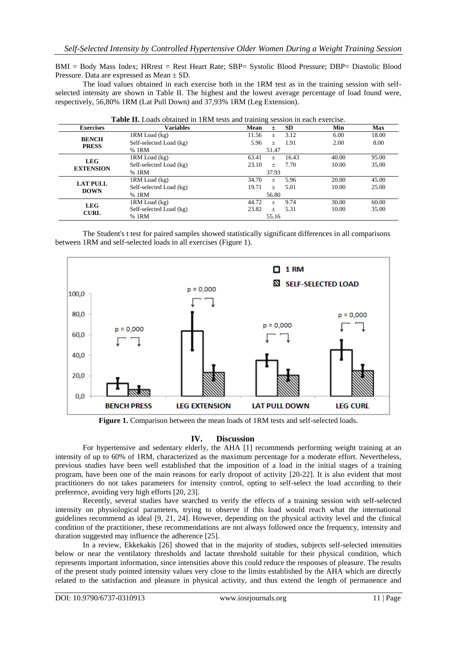BMI = Body Mass Index; HRrest = Rest Heart Rate; SBP= Systolic Blood Pressure; DBP= Diastolic Blood Pressure. Data are expressed as Mean ± SD.

The load values obtained in each exercise both in the 1RM test as in the training session with selfselected intensity are shown in Table II. The highest and the lowest average percentage of load found were, respectively, 56,80% 1RM (Lat Pull Down) and 37,93% 1RM (Leg Extension).

| <b>Exercises</b>               | <b>Variables</b>        | Mean<br><b>SD</b><br>Ŧ.           | Min   | <b>Max</b> |
|--------------------------------|-------------------------|-----------------------------------|-------|------------|
| <b>BENCH</b><br><b>PRESS</b>   | 1RM Load (kg)           | 3.12<br>11.56<br>$^{+}$           | 6.00  | 18.00      |
|                                | Self-selected Load (kg) | 5.96<br>1.91<br>$\qquad \qquad +$ | 2.00  | 8.00       |
|                                | % 1RM                   | 51.47                             |       |            |
| <b>LEG</b><br><b>EXTENSION</b> | 1RM Load (kg)           | 63.41<br>16.43<br>$^{+}$          | 40.00 | 95.00      |
|                                | Self-selected Load (kg) | 23.10<br>7.70<br>$+$              | 10.00 | 35.00      |
|                                | % 1RM                   | 37.93                             |       |            |
| <b>LAT PULL</b><br><b>DOWN</b> | 1RM Load (kg)           | 34.70<br>5.96<br>$^{+}$           | 20.00 | 45.00      |
|                                | Self-selected Load (kg) | 19.71<br>5.01<br>$^{+}$           | 10.00 | 25.00      |
|                                | % 1RM                   | 56.80                             |       |            |
| <b>LEG</b><br><b>CURL</b>      | 1RM Load (kg)           | 44.72<br>9.74<br>$^{+}$           | 30.00 | 60.00      |
|                                | Self-selected Load (kg) | 23.82<br>5.31<br>$^{+}$           | 10.00 | 35.00      |
|                                | % 1RM                   | 55.16                             |       |            |

**Table II.** Loads obtained in 1RM tests and training session in each exercise.

The Student's t test for paired samples showed statistically significant differences in all comparisons between 1RM and self-selected loads in all exercises (Figure 1).



**Figure 1.** Comparison between the mean loads of 1RM tests and self-selected loads.

# **IV. Discussion**

For hypertensive and sedentary elderly, the AHA [1] recommends performing weight training at an intensity of up to 60% of 1RM, characterized as the maximum percentage for a moderate effort. Nevertheless, previous studies have been well established that the imposition of a load in the initial stages of a training program, have been one of the main reasons for early dropout of activity [20-22]. It is also evident that most practitioners do not takes parameters for intensity control, opting to self-select the load according to their preference, avoiding very high efforts [20, 23].

Recently, several studies have searched to verify the effects of a training session with self-selected intensity on physiological parameters, trying to observe if this load would reach what the international guidelines recommend as ideal [9, 21, 24]. However, depending on the physical activity level and the clinical condition of the practitioner, these recommendations are not always followed once the frequency, intensity and duration suggested may influence the adherence [25].

In a review, Ekkekakis [26] showed that in the majority of studies, subjects self-selected intensities below or near the ventilatory thresholds and lactate threshold suitable for their physical condition, which represents important information, since intensities above this could reduce the responses of pleasure. The results of the present study pointed intensity values very close to the limits established by the AHA which are directly related to the satisfaction and pleasure in physical activity, and thus extend the length of permanence and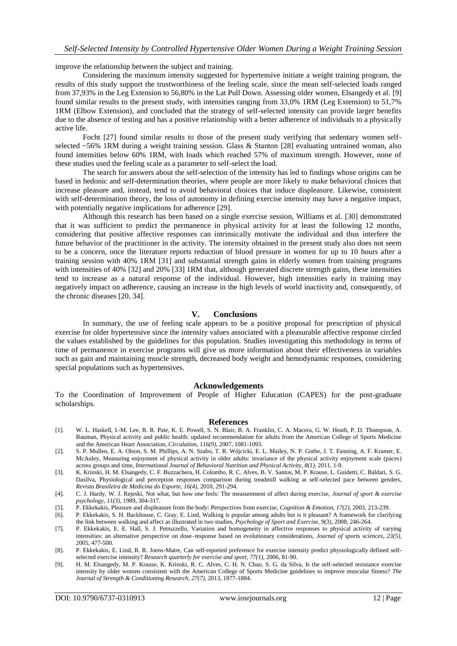improve the relationship between the subject and training.

Considering the maximum intensity suggested for hypertensive initiate a weight training program, the results of this study support the trustworthiness of the feeling scale, since the mean self-selected loads ranged from 37,93% in the Leg Extension to 56,80% in the Lat Pull Down. Assessing older women, Elsangedy et al. [9] found similar results to the present study, with intensities ranging from 33,0% 1RM (Leg Extension) to 51,7% 1RM (Elbow Extension), and concluded that the strategy of self-selected intensity can provide larger benefits due to the absence of testing and has a positive relationship with a better adherence of individuals to a physically active life.

Focht [27] found similar results to those of the present study verifying that sedentary women selfselected ~56% 1RM during a weight training session. Glass & Stanton [28] evaluating untrained woman, also found intensities below 60% 1RM, with loads which reached 57% of maximum strength. However, none of these studies used the feeling scale as a parameter to self-select the load.

The search for answers about the self-selection of the intensity has led to findings whose origins can be based in hedonic and self-determination theories, where people are more likely to make behavioral choices that increase pleasure and, instead, tend to avoid behavioral choices that induce displeasure. Likewise, consistent with self-determination theory, the loss of autonomy in defining exercise intensity may have a negative impact, with potentially negative implications for adherence [29].

Although this research has been based on a single exercise session, Williams et al. [30] demonstrated that it was sufficient to predict the permanence in physical activity for at least the following 12 months, considering that positive affective responses can intrinsically motivate the individual and thus interfere the future behavior of the practitioner in the activity. The intensity obtained in the present study also does not seem to be a concern, once the literature reports reduction of blood pressure in women for up to 10 hours after a training session with 40% 1RM [31] and substantial strength gains in elderly women from training programs with intensities of 40% [32] and 20% [33] 1RM that, although generated discrete strength gains, these intensities tend to increase as a natural response of the individual. However, high intensities early in training may negatively impact on adherence, causing an increase in the high levels of world inactivity and, consequently, of the chronic diseases [20, 34].

## **V. Conclusions**

In summary, the use of feeling scale appears to be a positive proposal for prescription of physical exercise for older hypertensive since the intensity values associated with a pleasurable affective response circled the values established by the guidelines for this population. Studies investigating this methodology in terms of time of permanence in exercise programs will give us more information about their effectiveness in variables such as gain and maintaining muscle strength, decreased body weight and hemodynamic responses, considering special populations such as hypertensives.

## **Acknowledgements**

To the Coordination of Improvement of People of Higher Education (CAPES) for the post-graduate scholarships.

#### **References**

- [1]. W. L. Haskell, I.-M. Lee, R. R. Pate, K. E. Powell, S. N. Blair, B. A. Franklin, C. A. Macera, G. W. Heath, P. D. Thompson, A. Bauman, Physical activity and public health: updated recommendation for adults from the American College of Sports Medicine and the American Heart Association, *Circulation, 116(9)*, 2007, 1081-1093.
- [2]. S. P. Mullen, E. A. Olson, S. M. Phillips, A. N. Szabo, T. R. Wójcicki, E. L. Mailey, N. P. Gothe, J. T. Fanning, A. F. Kramer, E. McAuley, Measuring enjoyment of physical activity in older adults: invariance of the physical activity enjoyment scale (paces) across groups and time, *International Journal of Behavioral Nutrition and Physical Activity*,  $8(1)$ , 2011, 1-9.
- [3]. K. Krinski, H. M. Elsangedy, C. F. Buzzachera, H. Colombo, R. C. Alves, B. V. Santos, M. P. Krause, L. Guidetti, C. Baldari, S. G. Dasilva, Physiological and perception responses comparison during treadmill walking at self-selected pace between genders, *Revista Brasileira de Medicina do Esporte, 16(4),* 2010, 291-294.
- [4]. C. J. Hardy, W. J. Rejeski, Not what, but how one feels: The measurement of affect during exercise, *Journal of sport & exercise psychology, 11(3),* 1989, 304-317.
- [5]. P. Ekkekakis, Pleasure and displeasure from the body: Perspectives from exercise, *Cognition & Emotion, 17(2),* 2003, 213-239.
- [6]. P. Ekkekakis, S. H. Backhouse, C. Gray, E. Lind, Walking is popular among adults but is it pleasant? A framework for clarifying the link between walking and affect as illustrated in two studies, *Psychology of Sport and Exercise, 9(3),* 2008, 246-264.
- [7]. P. Ekkekakis, E. E. Hall, S. J. Petruzzello, Variation and homogeneity in affective responses to physical activity of varying intensities: an alternative perspective on dose–response based on evolutionary considerations, *Journal of sports sciences, 23(5),* 2005, 477-500.
- [8]. P. Ekkekakis, E. Lind, R. R. Joens-Matre, Can self-reported preference for exercise intensity predict physiologically defined selfselected exercise intensity? *Research quarterly for exercise and sport, 77(1),* 2006, 81-90.
- [9]. H. M. Elsangedy, M. P. Krause, K. Krinski, R. C. Alves, C. H. N. Chao, S. G. da Silva, Is the self-selected resistance exercise intensity by older women consistent with the American College of Sports Medicine guidelines to improve muscular fitness? *The Journal of Strength & Conditioning Research, 27(7),* 2013, 1877-1884.